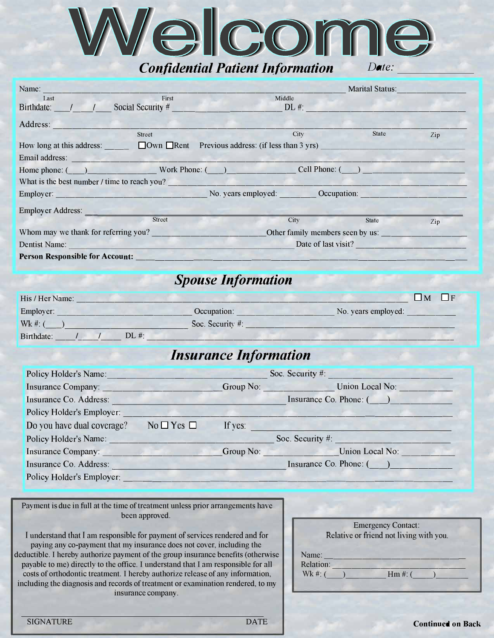

### *Confidential Patient Information*

| ate |
|-----|

| Name:                                                                                                                                                                                                                          |                   |                                                               |                                  | <b>Marital Status:</b> |              |
|--------------------------------------------------------------------------------------------------------------------------------------------------------------------------------------------------------------------------------|-------------------|---------------------------------------------------------------|----------------------------------|------------------------|--------------|
| Last                                                                                                                                                                                                                           | First             |                                                               | Middle                           |                        |              |
| Birthdate:                                                                                                                                                                                                                     | Social Security # |                                                               | $DL$ #:                          |                        |              |
| Address:                                                                                                                                                                                                                       |                   |                                                               |                                  |                        |              |
|                                                                                                                                                                                                                                | <b>Street</b>     |                                                               | City                             | State                  | $_{\rm Zip}$ |
| How long at this address:                                                                                                                                                                                                      |                   | $\Box$ Own $\Box$ Rent Previous address: (if less than 3 yrs) |                                  |                        |              |
| Email address:                                                                                                                                                                                                                 |                   |                                                               |                                  |                        |              |
| Home phone: ( ) Work Phone: ( )                                                                                                                                                                                                |                   |                                                               |                                  | Cell Phone: ()         |              |
| What is the best number / time to reach you?                                                                                                                                                                                   |                   |                                                               |                                  |                        |              |
| Employer: No. years employed: No. 2020 No. 2020 No. 2020 No. 2020 No. 2020 No. 2020 No. 2020 No. 2020 No. 2020 No. 2020 No. 2020 No. 2020 No. 2020 No. 2020 No. 2020 No. 2020 No. 2020 No. 2020 No. 2020 No. 2020 No. 2020 No. |                   |                                                               |                                  |                        |              |
| Employer Address:                                                                                                                                                                                                              |                   |                                                               |                                  |                        |              |
|                                                                                                                                                                                                                                | <b>Street</b>     |                                                               | City                             | <b>State</b>           | Zip          |
| Whom may we thank for referring you?                                                                                                                                                                                           |                   |                                                               | Other family members seen by us: |                        |              |
| Dentist Name:                                                                                                                                                                                                                  |                   |                                                               | Date of last visit?              |                        |              |
| <b>Person Responsible for Account:</b>                                                                                                                                                                                         |                   |                                                               |                                  |                        |              |

## *Spouse Information*

| His / Her Name:       |                     | $\overline{M}$      |
|-----------------------|---------------------|---------------------|
| Employer:             | Occupation:         | No. years employed: |
| $Wk \#: ($            | Soc. Security $#$ : |                     |
| $DL \#$<br>Birthdate: |                     |                     |

### *Insurance Information*

| Policy Holder's Name:      |                    |         | Soc. Security #:             |
|----------------------------|--------------------|---------|------------------------------|
| Insurance Company:         |                    |         | Union Local No:<br>Group No: |
| Insurance Co. Address:     |                    |         | Insurance Co. Phone: ()      |
| Policy Holder's Employer:  |                    |         |                              |
| Do vou have dual coverage? | $No \Box Yes \Box$ | If yes: |                              |
| Policy Holder's Name:      |                    |         | Soc. Security #:             |
| <b>Insurance Company:</b>  |                    |         | Group No: Union Local No:    |
| Insurance Co. Address:     |                    |         | Insurance Co. Phone: ()      |
| Policy Holder's Employer:  |                    |         |                              |

Payment is due in full at the time of treatment unless prior arrangements have been approved.

I understand that I am responsible for payment of services rendered and for paying any co-payment that my insurance does not cover, including the deductible. I hereby authorize payment of the group insurance benefits (otherwise payable to me) directly to the office. I understand that I am responsible for all costs of orthodontic treatment. I hereby authorize release of any information, including the diagnosis and records of treatment or examination rendered, to my insurance company.

|                                  | <b>Emergency Contact:</b><br>Relative or friend not living with you. |
|----------------------------------|----------------------------------------------------------------------|
| Name:<br>Relation:<br>$Wk \#: ($ | $Hm \#: G$                                                           |